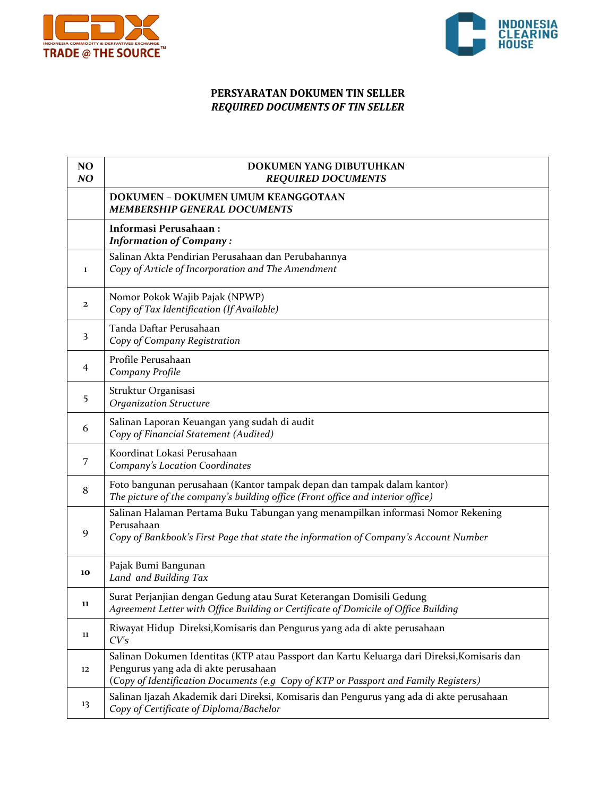



## **PERSYARATAN DOKUMEN TIN SELLER** *REQUIRED DOCUMENTS OF TIN SELLER*

| NO<br>NO | DOKUMEN YANG DIBUTUHKAN<br><b>REQUIRED DOCUMENTS</b>                                                                                                                                                                        |
|----------|-----------------------------------------------------------------------------------------------------------------------------------------------------------------------------------------------------------------------------|
|          | DOKUMEN - DOKUMEN UMUM KEANGGOTAAN<br><b>MEMBERSHIP GENERAL DOCUMENTS</b>                                                                                                                                                   |
|          | Informasi Perusahaan:<br><b>Information of Company:</b>                                                                                                                                                                     |
| 1        | Salinan Akta Pendirian Perusahaan dan Perubahannya<br>Copy of Article of Incorporation and The Amendment                                                                                                                    |
| 2        | Nomor Pokok Wajib Pajak (NPWP)<br>Copy of Tax Identification (If Available)                                                                                                                                                 |
| 3        | Tanda Daftar Perusahaan<br>Copy of Company Registration                                                                                                                                                                     |
| 4        | Profile Perusahaan<br>Company Profile                                                                                                                                                                                       |
| 5        | Struktur Organisasi<br><b>Organization Structure</b>                                                                                                                                                                        |
| 6        | Salinan Laporan Keuangan yang sudah di audit<br>Copy of Financial Statement (Audited)                                                                                                                                       |
| 7        | Koordinat Lokasi Perusahaan<br>Company's Location Coordinates                                                                                                                                                               |
| 8        | Foto bangunan perusahaan (Kantor tampak depan dan tampak dalam kantor)<br>The picture of the company's building office (Front office and interior office)                                                                   |
| 9        | Salinan Halaman Pertama Buku Tabungan yang menampilkan informasi Nomor Rekening<br>Perusahaan<br>Copy of Bankbook's First Page that state the information of Company's Account Number                                       |
| 10       | Pajak Bumi Bangunan<br>Land and Building Tax                                                                                                                                                                                |
| 11       | Surat Perjanjian dengan Gedung atau Surat Keterangan Domisili Gedung<br>Agreement Letter with Office Building or Certificate of Domicile of Office Building                                                                 |
| 11       | Riwayat Hidup Direksi, Komisaris dan Pengurus yang ada di akte perusahaan<br>CV's                                                                                                                                           |
| 12       | Salinan Dokumen Identitas (KTP atau Passport dan Kartu Keluarga dari Direksi, Komisaris dan<br>Pengurus yang ada di akte perusahaan<br>(Copy of Identification Documents (e.g Copy of KTP or Passport and Family Registers) |
| 13       | Salinan Ijazah Akademik dari Direksi, Komisaris dan Pengurus yang ada di akte perusahaan<br>Copy of Certificate of Diploma/Bachelor                                                                                         |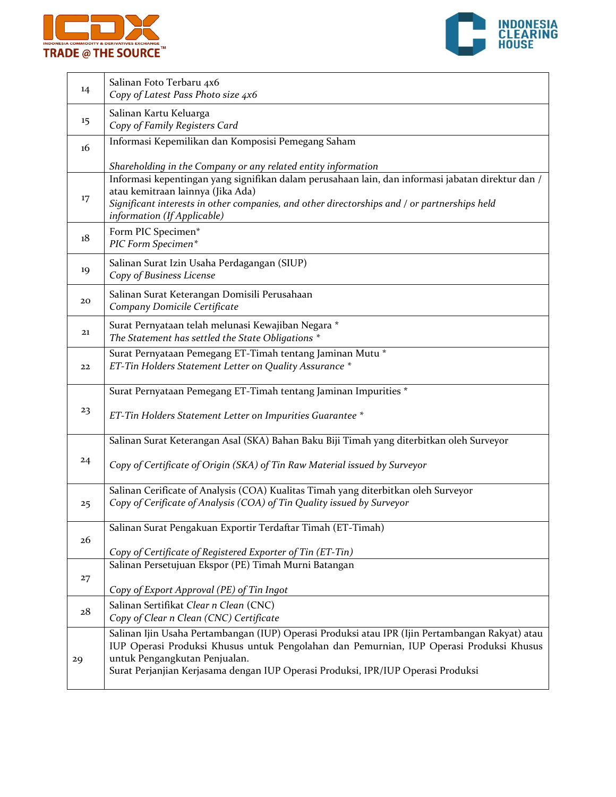



| 14 | Salinan Foto Terbaru 4x6<br>Copy of Latest Pass Photo size 4x6                                                                                                                                                                                                                                                                         |
|----|----------------------------------------------------------------------------------------------------------------------------------------------------------------------------------------------------------------------------------------------------------------------------------------------------------------------------------------|
| 15 | Salinan Kartu Keluarga<br>Copy of Family Registers Card                                                                                                                                                                                                                                                                                |
| 16 | Informasi Kepemilikan dan Komposisi Pemegang Saham                                                                                                                                                                                                                                                                                     |
| 17 | Shareholding in the Company or any related entity information<br>Informasi kepentingan yang signifikan dalam perusahaan lain, dan informasi jabatan direktur dan /<br>atau kemitraan lainnya (Jika Ada)<br>Significant interests in other companies, and other directorships and / or partnerships held<br>information (If Applicable) |
| 18 | Form PIC Specimen*<br>PIC Form Specimen*                                                                                                                                                                                                                                                                                               |
| 19 | Salinan Surat Izin Usaha Perdagangan (SIUP)<br>Copy of Business License                                                                                                                                                                                                                                                                |
| 20 | Salinan Surat Keterangan Domisili Perusahaan<br>Company Domicile Certificate                                                                                                                                                                                                                                                           |
| 21 | Surat Pernyataan telah melunasi Kewajiban Negara *<br>The Statement has settled the State Obligations *                                                                                                                                                                                                                                |
| 22 | Surat Pernyataan Pemegang ET-Timah tentang Jaminan Mutu *<br>ET-Tin Holders Statement Letter on Quality Assurance *                                                                                                                                                                                                                    |
| 23 | Surat Pernyataan Pemegang ET-Timah tentang Jaminan Impurities *<br>ET-Tin Holders Statement Letter on Impurities Guarantee *                                                                                                                                                                                                           |
| 24 | Salinan Surat Keterangan Asal (SKA) Bahan Baku Biji Timah yang diterbitkan oleh Surveyor<br>Copy of Certificate of Origin (SKA) of Tin Raw Material issued by Surveyor                                                                                                                                                                 |
| 25 | Salinan Cerificate of Analysis (COA) Kualitas Timah yang diterbitkan oleh Surveyor<br>Copy of Cerificate of Analysis (COA) of Tin Quality issued by Surveyor                                                                                                                                                                           |
| 26 | Salinan Surat Pengakuan Exportir Terdaftar Timah (ET-Timah)<br>Copy of Certificate of Registered Exporter of Tin (ET-Tin)                                                                                                                                                                                                              |
| 27 | Salinan Persetujuan Ekspor (PE) Timah Murni Batangan<br>Copy of Export Approval (PE) of Tin Ingot                                                                                                                                                                                                                                      |
| 28 | Salinan Sertifikat Clear n Clean (CNC)<br>Copy of Clear n Clean (CNC) Certificate                                                                                                                                                                                                                                                      |
| 29 | Salinan Ijin Usaha Pertambangan (IUP) Operasi Produksi atau IPR (Ijin Pertambangan Rakyat) atau<br>IUP Operasi Produksi Khusus untuk Pengolahan dan Pemurnian, IUP Operasi Produksi Khusus<br>untuk Pengangkutan Penjualan.<br>Surat Perjanjian Kerjasama dengan IUP Operasi Produksi, IPR/IUP Operasi Produksi                        |